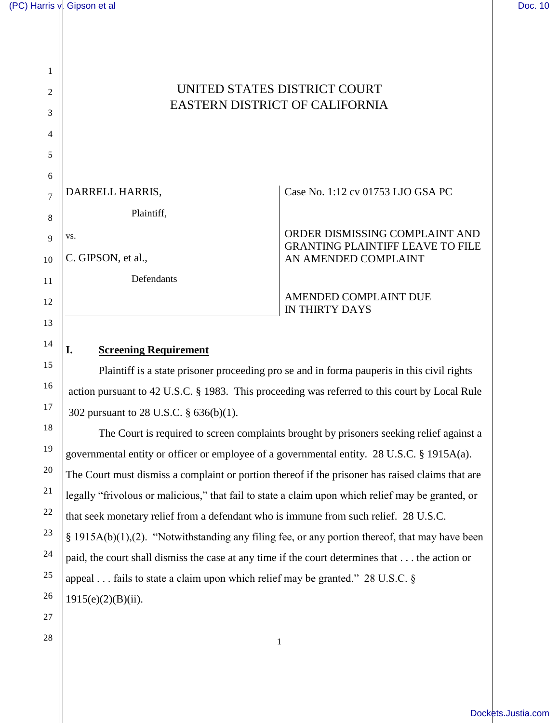1

2

3

4

5

13

14

15

16

17

18

19

20

## UNITED STATES DISTRICT COURT EASTERN DISTRICT OF CALIFORNIA

| 6  |                    |                                                                           |
|----|--------------------|---------------------------------------------------------------------------|
|    | DARRELL HARRIS,    | Case No. 1:12 cv 01753 LJO GSA PC                                         |
| 8  | Plaintiff,         |                                                                           |
|    | VS.                | ORDER DISMISSING COMPLAINT AND<br><b>GRANTING PLAINTIFF LEAVE TO FILE</b> |
| 10 | C. GIPSON, et al., | AN AMENDED COMPLAINT                                                      |
| 11 | Defendants         |                                                                           |
| 12 |                    | AMENDED COMPLAINT DUE<br><b>IN THIRTY DAYS</b>                            |

## **I. Screening Requirement**

Plaintiff is a state prisoner proceeding pro se and in forma pauperis in this civil rights action pursuant to 42 U.S.C. § 1983. This proceeding was referred to this court by Local Rule 302 pursuant to 28 U.S.C. § 636(b)(1).

The Court is required to screen complaints brought by prisoners seeking relief against a governmental entity or officer or employee of a governmental entity. 28 U.S.C. § 1915A(a). The Court must dismiss a complaint or portion thereof if the prisoner has raised claims that are legally "frivolous or malicious," that fail to state a claim upon which relief may be granted, or that seek monetary relief from a defendant who is immune from such relief. 28 U.S.C. § 1915A(b)(1),(2). "Notwithstanding any filing fee, or any portion thereof, that may have been paid, the court shall dismiss the case at any time if the court determines that . . . the action or appeal . . . fails to state a claim upon which relief may be granted." 28 U.S.C. §  $1915(e)(2)(B)(ii)$ .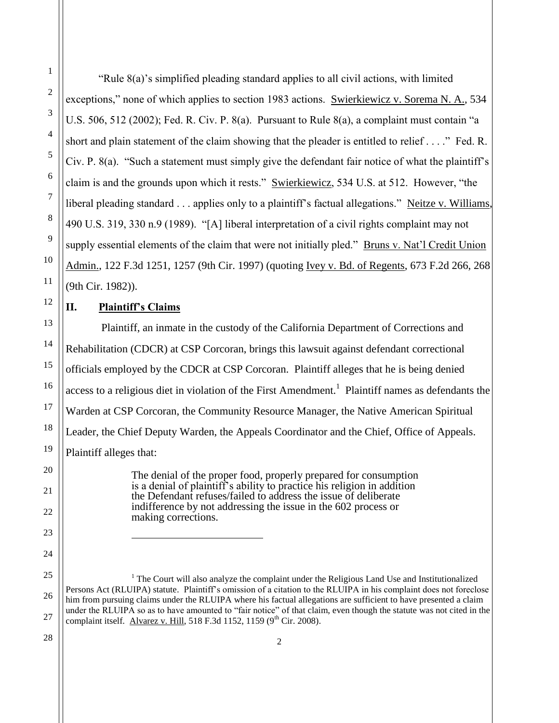1

2

3

"Rule 8(a)'s simplified pleading standard applies to all civil actions, with limited exceptions," none of which applies to section 1983 actions. Swierkiewicz v. Sorema N. A., 534 U.S. 506, 512 (2002); Fed. R. Civ. P. 8(a). Pursuant to Rule 8(a), a complaint must contain "a short and plain statement of the claim showing that the pleader is entitled to relief . . . ." Fed. R. Civ. P. 8(a). "Such a statement must simply give the defendant fair notice of what the plaintiff's claim is and the grounds upon which it rests." Swierkiewicz, 534 U.S. at 512. However, "the liberal pleading standard . . . applies only to a plaintiff's factual allegations." Neitze v. Williams, 490 U.S. 319, 330 n.9 (1989). "[A] liberal interpretation of a civil rights complaint may not supply essential elements of the claim that were not initially pled." Bruns v. Nat'l Credit Union Admin., 122 F.3d 1251, 1257 (9th Cir. 1997) (quoting Ivey v. Bd. of Regents, 673 F.2d 266, 268 (9th Cir. 1982)).

## **II. Plaintiff's Claims**

 $\overline{a}$ 

Plaintiff, an inmate in the custody of the California Department of Corrections and Rehabilitation (CDCR) at CSP Corcoran, brings this lawsuit against defendant correctional officials employed by the CDCR at CSP Corcoran. Plaintiff alleges that he is being denied access to a religious diet in violation of the First Amendment.<sup>1</sup> Plaintiff names as defendants the Warden at CSP Corcoran, the Community Resource Manager, the Native American Spiritual Leader, the Chief Deputy Warden, the Appeals Coordinator and the Chief, Office of Appeals. Plaintiff alleges that:

> The denial of the proper food, properly prepared for consumption is a denial of plaintiff's ability to practice his religion in addition the Defendant refuses/failed to address the issue of deliberate indifference by not addressing the issue in the 602 process or making corrections.

 $<sup>1</sup>$  The Court will also analyze the complaint under the Religious Land Use and Institutionalized</sup> Persons Act (RLUIPA) statute. Plaintiff's omission of a citation to the RLUIPA in his complaint does not foreclose him from pursuing claims under the RLUIPA where his factual allegations are sufficient to have presented a claim under the RLUIPA so as to have amounted to "fair notice" of that claim, even though the statute was not cited in the complaint itself. Alvarez v. Hill, 518 F.3d 1152, 1159 ( $9<sup>th</sup>$  Cir. 2008).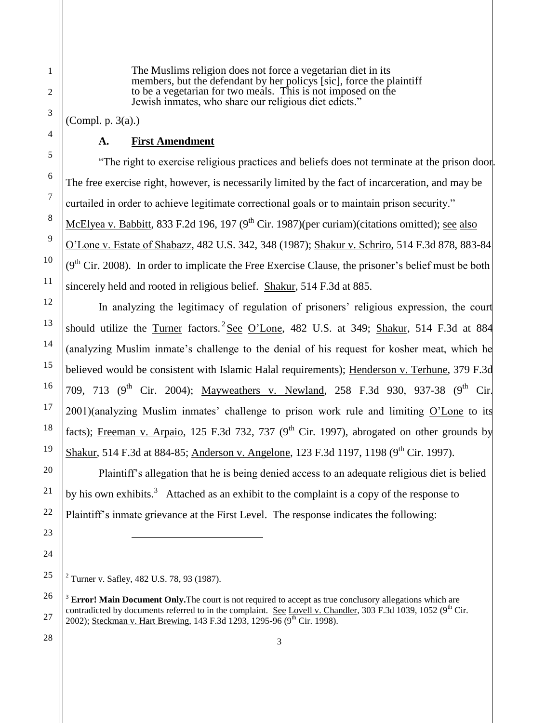The Muslims religion does not force a vegetarian diet in its members, but the defendant by her policys [sic], force the plaintiff to be a vegetarian for two meals. This is not imposed on the Jewish inmates, who share our religious diet edicts."

(Compl. p. 3(a).)

## **A. First Amendment**

"The right to exercise religious practices and beliefs does not terminate at the prison door. The free exercise right, however, is necessarily limited by the fact of incarceration, and may be curtailed in order to achieve legitimate correctional goals or to maintain prison security." McElyea v. Babbitt, 833 F.2d 196, 197 (9<sup>th</sup> Cir. 1987)(per curiam)(citations omitted); see also O'Lone v. Estate of Shabazz, 482 U.S. 342, 348 (1987); Shakur v. Schriro, 514 F.3d 878, 883-84  $(9<sup>th</sup> Cir. 2008)$ . In order to implicate the Free Exercise Clause, the prisoner's belief must be both sincerely held and rooted in religious belief. Shakur, 514 F.3d at 885.

In analyzing the legitimacy of regulation of prisoners' religious expression, the court should utilize the Turner factors.  ${}^{2}$ See O'Lone, 482 U.S. at 349; Shakur, 514 F.3d at 884 (analyzing Muslim inmate's challenge to the denial of his request for kosher meat, which he believed would be consistent with Islamic Halal requirements); Henderson v. Terhune, 379 F.3d 709, 713 (9<sup>th</sup> Cir. 2004); Mayweathers v. Newland, 258 F.3d 930, 937-38 (9<sup>th</sup> Cir.  $2001$ )(analyzing Muslim inmates' challenge to prison work rule and limiting  $O'$ Lone to its facts); Freeman v. Arpaio, 125 F.3d 732, 737 (9<sup>th</sup> Cir. 1997), abrogated on other grounds by Shakur, 514 F.3d at 884-85; Anderson v. Angelone, 123 F.3d 1197, 1198 (9<sup>th</sup> Cir. 1997).

Plaintiff's allegation that he is being denied access to an adequate religious diet is belied by his own exhibits.<sup>3</sup> Attached as an exhibit to the complaint is a copy of the response to Plaintiff's inmate grievance at the First Level. The response indicates the following:

 $\overline{a}$ 

1

 $2 \text{ Turner v. } \text{Safley}, 482 \text{ U.S. } 78, 93 \text{ (1987)}.$ 

<sup>&</sup>lt;sup>3</sup> Error! Main Document Only. The court is not required to accept as true conclusory allegations which are contradicted by documents referred to in the complaint. See Lovell v. Chandler, 303 F.3d 1039, 1052 ( $9<sup>th</sup>$  Cir. 2002); Steckman v. Hart Brewing, 143 F.3d 1293, 1295-96 (9<sup>th</sup> Cir. 1998).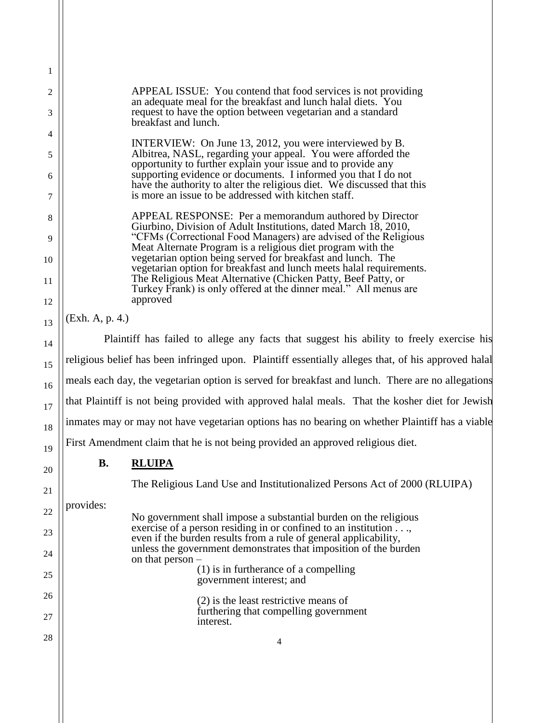| 1  |                                                                                                     |                                                                                                                                              |  |  |
|----|-----------------------------------------------------------------------------------------------------|----------------------------------------------------------------------------------------------------------------------------------------------|--|--|
| 2  |                                                                                                     | APPEAL ISSUE: You contend that food services is not providing<br>an adequate meal for the breakfast and lunch halal diets. You               |  |  |
| 3  | request to have the option between vegetarian and a standard<br>breakfast and lunch.                |                                                                                                                                              |  |  |
| 4  |                                                                                                     | INTERVIEW: On June 13, 2012, you were interviewed by B.                                                                                      |  |  |
| 5  |                                                                                                     | Albitrea, NASL, regarding your appeal. You were afforded the<br>opportunity to further explain your issue and to provide any                 |  |  |
| 6  |                                                                                                     | supporting evidence or documents. I informed you that I do not<br>have the authority to alter the religious diet. We discussed that this     |  |  |
| 7  |                                                                                                     | is more an issue to be addressed with kitchen staff.                                                                                         |  |  |
| 8  |                                                                                                     | APPEAL RESPONSE: Per a memorandum authored by Director<br>Giurbino, Division of Adult Institutions, dated March 18, 2010,                    |  |  |
| 9  |                                                                                                     | "CFMs (Correctional Food Managers) are advised of the Religious<br>Meat Alternate Program is a religious diet program with the               |  |  |
| 10 |                                                                                                     | vegetarian option being served for breakfast and lunch. The<br>vegetarian option for breakfast and lunch meets halal requirements.           |  |  |
| 11 |                                                                                                     | The Religious Meat Alternative (Chicken Patty, Beef Patty, or<br>Turkey Frank) is only offered at the dinner meal." All menus are            |  |  |
| 12 | approved                                                                                            |                                                                                                                                              |  |  |
| 13 | (Exh. A, p. 4.)                                                                                     |                                                                                                                                              |  |  |
| 14 | Plaintiff has failed to allege any facts that suggest his ability to freely exercise his            |                                                                                                                                              |  |  |
| 15 | religious belief has been infringed upon. Plaintiff essentially alleges that, of his approved halal |                                                                                                                                              |  |  |
| 16 | meals each day, the vegetarian option is served for breakfast and lunch. There are no allegations   |                                                                                                                                              |  |  |
| 17 |                                                                                                     | that Plaintiff is not being provided with approved halal meals. That the kosher diet for Jewish                                              |  |  |
| 18 |                                                                                                     | inmates may or may not have vegetarian options has no bearing on whether Plaintiff has a viable                                              |  |  |
| 19 | First Amendment claim that he is not being provided an approved religious diet.                     |                                                                                                                                              |  |  |
| 20 | <b>B.</b>                                                                                           | <b>RLUIPA</b>                                                                                                                                |  |  |
| 21 |                                                                                                     | The Religious Land Use and Institutionalized Persons Act of 2000 (RLUIPA)                                                                    |  |  |
| 22 | provides:                                                                                           | No government shall impose a substantial burden on the religious                                                                             |  |  |
| 23 |                                                                                                     | exercise of a person residing in or confined to an institution $\dots$ ,<br>even if the burden results from a rule of general applicability, |  |  |
| 24 |                                                                                                     | unless the government demonstrates that imposition of the burden<br>on that $person -$                                                       |  |  |
| 25 |                                                                                                     | $(1)$ is in furtherance of a compelling<br>government interest; and                                                                          |  |  |
| 26 |                                                                                                     | $(2)$ is the least restrictive means of                                                                                                      |  |  |
| 27 |                                                                                                     | furthering that compelling government<br>interest.                                                                                           |  |  |
| 28 |                                                                                                     | 4                                                                                                                                            |  |  |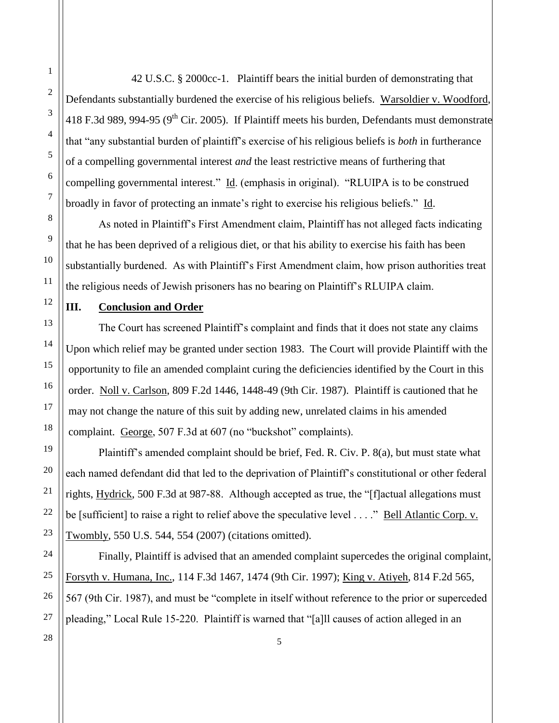2 3 4 5 6 7 8 9 10 11 12 13 14 15 16 17 Defendants substantially burdened the exercise of his religious beliefs. Warsoldier v. Woodford, 418 F.3d 989, 994-95 (9<sup>th</sup> Cir. 2005). If Plaintiff meets his burden, Defendants must demonstrate that "any substantial burden of plaintiff's exercise of his religious beliefs is *both* in furtherance of a compelling governmental interest *and* the least restrictive means of furthering that compelling governmental interest." Id. (emphasis in original). "RLUIPA is to be construed broadly in favor of protecting an inmate's right to exercise his religious beliefs." Id. As noted in Plaintiff's First Amendment claim, Plaintiff has not alleged facts indicating that he has been deprived of a religious diet, or that his ability to exercise his faith has been substantially burdened. As with Plaintiff's First Amendment claim, how prison authorities treat the religious needs of Jewish prisoners has no bearing on Plaintiff's RLUIPA claim. **III. Conclusion and Order**

The Court has screened Plaintiff's complaint and finds that it does not state any claims Upon which relief may be granted under section 1983. The Court will provide Plaintiff with the opportunity to file an amended complaint curing the deficiencies identified by the Court in this order. Noll v. Carlson, 809 F.2d 1446, 1448-49 (9th Cir. 1987). Plaintiff is cautioned that he may not change the nature of this suit by adding new, unrelated claims in his amended complaint. George, 507 F.3d at 607 (no "buckshot" complaints).

42 U.S.C. § 2000cc-1. Plaintiff bears the initial burden of demonstrating that

Plaintiff's amended complaint should be brief, Fed. R. Civ. P. 8(a), but must state what each named defendant did that led to the deprivation of Plaintiff's constitutional or other federal rights, Hydrick, 500 F.3d at 987-88. Although accepted as true, the "[f]actual allegations must be [sufficient] to raise a right to relief above the speculative level . . . ." Bell Atlantic Corp. v. Twombly, 550 U.S. 544, 554 (2007) (citations omitted).

Finally, Plaintiff is advised that an amended complaint supercedes the original complaint, Forsyth v. Humana, Inc., 114 F.3d 1467, 1474 (9th Cir. 1997); King v. Atiyeh, 814 F.2d 565, 567 (9th Cir. 1987), and must be "complete in itself without reference to the prior or superceded pleading," Local Rule 15-220. Plaintiff is warned that "[a]ll causes of action alleged in an

1